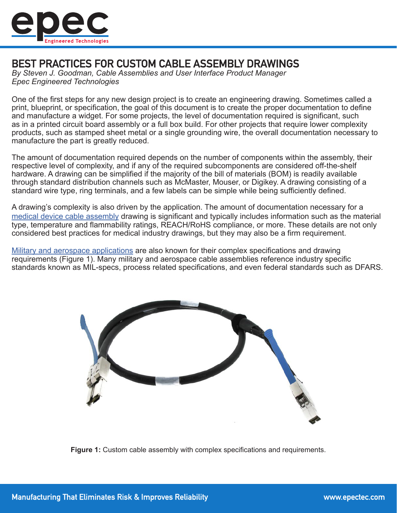

# BEST PRACTICES FOR CUSTOM CABLE ASSEMBLY DRAWINGS

*By Steven J. Goodman, Cable Assemblies and User Interface Product Manager Epec Engineered Technologies*

One of the first steps for any new design project is to create an engineering drawing. Sometimes called a print, blueprint, or specification, the goal of this document is to create the proper documentation to define and manufacture a widget. For some projects, the level of documentation required is significant, such as in a printed circuit board assembly or a full box build. For other projects that require lower complexity products, such as stamped sheet metal or a single grounding wire, the overall documentation necessary to manufacture the part is greatly reduced.

The amount of documentation required depends on the number of components within the assembly, their respective level of complexity, and if any of the required subcomponents are considered off-the-shelf hardware. A drawing can be simplified if the majority of the bill of materials (BOM) is readily available through standard distribution channels such as McMaster, Mouser, or Digikey. A drawing consisting of a standard wire type, ring terminals, and a few labels can be simple while being sufficiently defined.

A drawing's complexity is also driven by the application. The amount of documentation necessary for a [medical device cable assembly](https://www.epectec.com/cable-assemblies/medical-device-cables.html) drawing is significant and typically includes information such as the material type, temperature and flammability ratings, REACH/RoHS compliance, or more. These details are not only considered best practices for medical industry drawings, but they may also be a firm requirement.

[Military and aerospace applications](https://www.epectec.com/cable-assemblies/military-wire-harnesses.html) are also known for their complex specifications and drawing requirements (Figure 1). Many military and aerospace cable assemblies reference industry specific standards known as MIL-specs, process related specifications, and even federal standards such as DFARS.



**Figure 1:** Custom cable assembly with complex specifications and requirements.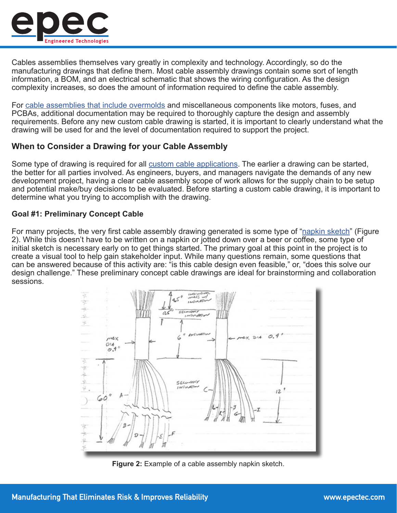

Cables assemblies themselves vary greatly in complexity and technology. Accordingly, so do the manufacturing drawings that define them. Most cable assembly drawings contain some sort of length information, a BOM, and an electrical schematic that shows the wiring configuration. As the design complexity increases, so does the amount of information required to define the cable assembly.

For [cable assemblies that include overmolds](https://www.epectec.com/cable-assemblies/over-molded-cables.html) and miscellaneous components like motors, fuses, and PCBAs, additional documentation may be required to thoroughly capture the design and assembly requirements. Before any new custom cable drawing is started, it is important to clearly understand what the drawing will be used for and the level of documentation required to support the project.

# **When to Consider a Drawing for your Cable Assembly**

Some type of drawing is required for all [custom cable applications.](https://www.epectec.com/cable-assemblies/) The earlier a drawing can be started, the better for all parties involved. As engineers, buyers, and managers navigate the demands of any new development project, having a clear cable assembly scope of work allows for the supply chain to be setup and potential make/buy decisions to be evaluated. Before starting a custom cable drawing, it is important to determine what you trying to accomplish with the drawing.

### **Goal #1: Preliminary Concept Cable**

For many projects, the very first cable assembly drawing generated is some type of ["napkin sketch"](https://blog.epectec.com/napkin-sketch-to-production-ready-cable-assemblies) (Figure 2). While this doesn't have to be written on a napkin or jotted down over a beer or coffee, some type of initial sketch is necessary early on to get things started. The primary goal at this point in the project is to create a visual tool to help gain stakeholder input. While many questions remain, some questions that can be answered because of this activity are: "is this cable design even feasible," or, "does this solve our design challenge." These preliminary concept cable drawings are ideal for brainstorming and collaboration sessions.



**Figure 2:** Example of a cable assembly napkin sketch.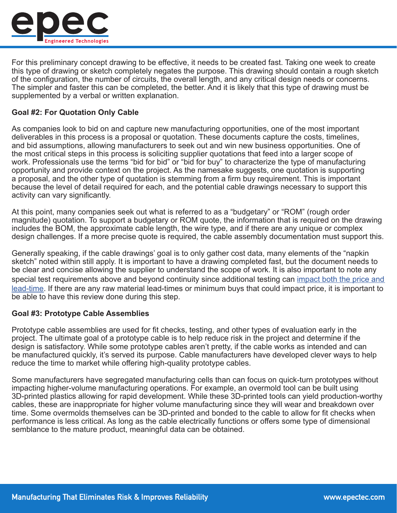

For this preliminary concept drawing to be effective, it needs to be created fast. Taking one week to create this type of drawing or sketch completely negates the purpose. This drawing should contain a rough sketch of the configuration, the number of circuits, the overall length, and any critical design needs or concerns. The simpler and faster this can be completed, the better. And it is likely that this type of drawing must be supplemented by a verbal or written explanation.

#### **Goal #2: For Quotation Only Cable**

As companies look to bid on and capture new manufacturing opportunities, one of the most important deliverables in this process is a proposal or quotation. These documents capture the costs, timelines, and bid assumptions, allowing manufacturers to seek out and win new business opportunities. One of the most critical steps in this process is soliciting supplier quotations that feed into a larger scope of work. Professionals use the terms "bid for bid" or "bid for buy" to characterize the type of manufacturing opportunity and provide context on the project. As the namesake suggests, one quotation is supporting a proposal, and the other type of quotation is stemming from a firm buy requirement. This is important because the level of detail required for each, and the potential cable drawings necessary to support this activity can vary significantly.

At this point, many companies seek out what is referred to as a "budgetary" or "ROM" (rough order magnitude) quotation. To support a budgetary or ROM quote, the information that is required on the drawing includes the BOM, the approximate cable length, the wire type, and if there are any unique or complex design challenges. If a more precise quote is required, the cable assembly documentation must support this.

Generally speaking, if the cable drawings' goal is to only gather cost data, many elements of the "napkin sketch" noted within still apply. It is important to have a drawing completed fast, but the document needs to be clear and concise allowing the supplier to understand the scope of work. It is also important to note any special test requirements above and beyond continuity since additional testing can [impact both the price and](https://www.epectec.com/cable-assemblies/quote-turn-around-and-production-delivery-times.html)  [lead-time](https://www.epectec.com/cable-assemblies/quote-turn-around-and-production-delivery-times.html). If there are any raw material lead-times or minimum buys that could impact price, it is important to be able to have this review done during this step.

#### **Goal #3: Prototype Cable Assemblies**

Prototype cable assemblies are used for fit checks, testing, and other types of evaluation early in the project. The ultimate goal of a prototype cable is to help reduce risk in the project and determine if the design is satisfactory. While some prototype cables aren't pretty, if the cable works as intended and can be manufactured quickly, it's served its purpose. Cable manufacturers have developed clever ways to help reduce the time to market while offering high-quality prototype cables.

Some manufacturers have segregated manufacturing cells than can focus on quick-turn prototypes without impacting higher-volume manufacturing operations. For example, an overmold tool can be built using 3D-printed plastics allowing for rapid development. While these 3D-printed tools can yield production-worthy cables, these are inappropriate for higher volume manufacturing since they will wear and breakdown over time. Some overmolds themselves can be 3D-printed and bonded to the cable to allow for fit checks when performance is less critical. As long as the cable electrically functions or offers some type of dimensional semblance to the mature product, meaningful data can be obtained.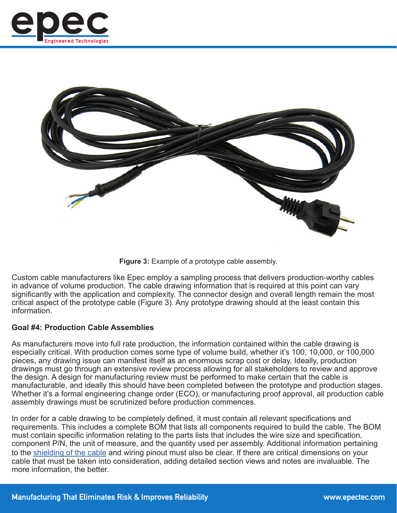



**Figure 3:** Example of a prototype cable assembly.

Custom cable manufacturers like Epec employ a sampling process that delivers production-worthy cables in advance of volume production. The cable drawing information that is required at this point can vary significantly with the application and complexity. The connector design and overall length remain the most critical aspect of the prototype cable (Figure 3). Any prototype drawing should at the least contain this information.

#### **Goal #4: Production Cable Assemblies**

As manufacturers move into full rate production, the information contained within the cable drawing is especially critical. With production comes some type of volume build, whether it's 100, 10,000, or 100,000 pieces, any drawing issue can manifest itself as an enormous scrap cost or delay. Ideally, production drawings must go through an extensive review process allowing for all stakeholders to review and approve the design. A design for manufacturing review must be performed to make certain that the cable is manufacturable, and ideally this should have been completed between the prototype and production stages. Whether it's a formal engineering change order (ECO), or manufacturing proof approval, all production cable assembly drawings must be scrutinized before production commences.

In order for a cable drawing to be completely defined, it must contain all relevant specifications and requirements. This includes a complete BOM that lists all components required to build the cable. The BOM must contain specific information relating to the parts lists that includes the wire size and specification, component P/N, the unit of measure, and the quantity used per assembly. Additional information pertaining to the [shielding of the cable](https://www.epectec.com/cable-assemblies/shielded-cables.html) and wiring pinout must also be clear. If there are critical dimensions on your cable that must be taken into consideration, adding detailed section views and notes are invaluable. The more information, the better.